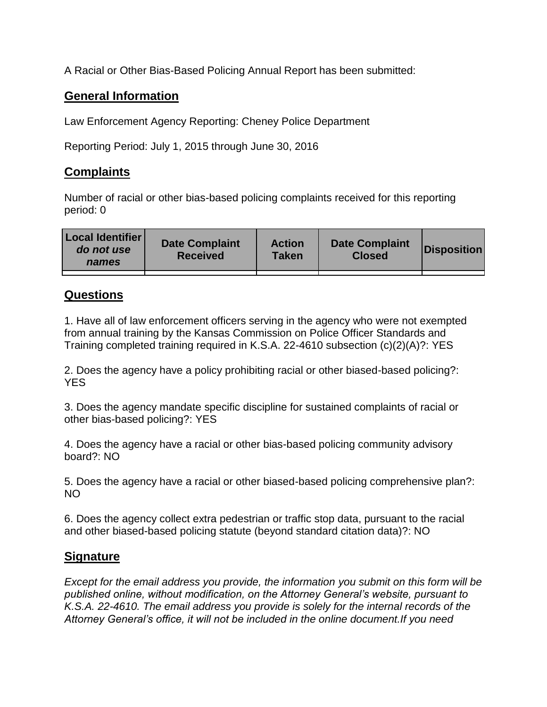A Racial or Other Bias-Based Policing Annual Report has been submitted:

## **General Information**

Law Enforcement Agency Reporting: Cheney Police Department

Reporting Period: July 1, 2015 through June 30, 2016

## **Complaints**

Number of racial or other bias-based policing complaints received for this reporting period: 0

| <b>Local Identifier</b><br>do not use<br>names | <b>Date Complaint</b><br><b>Received</b> | <b>Action</b><br><b>Taken</b> | <b>Date Complaint</b><br><b>Closed</b> | Disposition |
|------------------------------------------------|------------------------------------------|-------------------------------|----------------------------------------|-------------|
|                                                |                                          |                               |                                        |             |

## **Questions**

1. Have all of law enforcement officers serving in the agency who were not exempted from annual training by the Kansas Commission on Police Officer Standards and Training completed training required in K.S.A. 22-4610 subsection (c)(2)(A)?: YES

2. Does the agency have a policy prohibiting racial or other biased-based policing?: YES

3. Does the agency mandate specific discipline for sustained complaints of racial or other bias-based policing?: YES

4. Does the agency have a racial or other bias-based policing community advisory board?: NO

5. Does the agency have a racial or other biased-based policing comprehensive plan?: NO

6. Does the agency collect extra pedestrian or traffic stop data, pursuant to the racial and other biased-based policing statute (beyond standard citation data)?: NO

## **Signature**

*Except for the email address you provide, the information you submit on this form will be published online, without modification, on the Attorney General's website, pursuant to K.S.A. 22-4610. The email address you provide is solely for the internal records of the Attorney General's office, it will not be included in the online document.If you need*